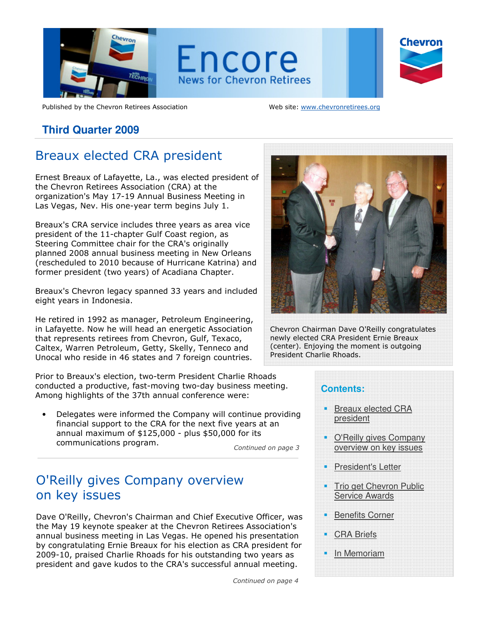

Published by the Chevron Retirees Association Web site: www.chevronretirees.org

## **Third Quarter 2009**

# Breaux elected CRA president

Ernest Breaux of Lafayette, La., was elected president of the Chevron Retirees Association (CRA) at the organization's May 17-19 Annual Business Meeting in Las Vegas, Nev. His one-year term begins July 1.

Breaux's CRA service includes three years as area vice president of the 11-chapter Gulf Coast region, as Steering Committee chair for the CRA's originally planned 2008 annual business meeting in New Orleans (rescheduled to 2010 because of Hurricane Katrina) and former president (two years) of Acadiana Chapter.

Breaux's Chevron legacy spanned 33 years and included eight years in Indonesia.

He retired in 1992 as manager, Petroleum Engineering, in Lafayette. Now he will head an energetic Association that represents retirees from Chevron, Gulf, Texaco, Caltex, Warren Petroleum, Getty, Skelly, Tenneco and Unocal who reside in 46 states and 7 foreign countries.

Prior to Breaux's election, two-term President Charlie Rhoads conducted a productive, fast-moving two-day business meeting. Among highlights of the 37th annual conference were:

• Delegates were informed the Company will continue providing financial support to the CRA for the next five years at an annual maximum of \$125,000 - plus \$50,000 for its communications program.

Continued on page 3

# O'Reilly gives Company overview on key issues

Dave O'Reilly, Chevron's Chairman and Chief Executive Officer, was the May 19 keynote speaker at the Chevron Retirees Association's annual business meeting in Las Vegas. He opened his presentation by congratulating Ernie Breaux for his election as CRA president for 2009-10, praised Charlie Rhoads for his outstanding two years as president and gave kudos to the CRA's successful annual meeting.

Continued on page 4



Chevron Chairman Dave O'Reilly congratulates newly elected CRA President Ernie Breaux (center). Enjoying the moment is outgoing President Charlie Rhoads.

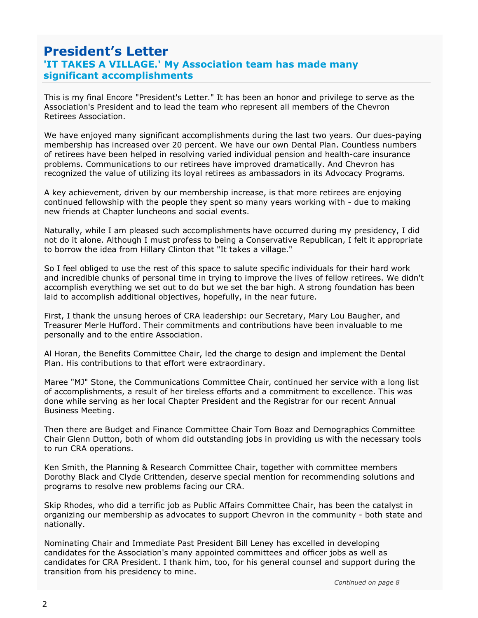# significant accomplishments President's Letter 'IT TAKES A VILLAGE.' My Association team has made many

This is my final Encore "President's Letter." It has been an honor and privilege to serve as the Association's President and to lead the team who represent all members of the Chevron Retirees Association.

We have enjoyed many significant accomplishments during the last two years. Our dues-paying membership has increased over 20 percent. We have our own Dental Plan. Countless numbers of retirees have been helped in resolving varied individual pension and health-care insurance problems. Communications to our retirees have improved dramatically. And Chevron has recognized the value of utilizing its loyal retirees as ambassadors in its Advocacy Programs.

A key achievement, driven by our membership increase, is that more retirees are enjoying continued fellowship with the people they spent so many years working with - due to making new friends at Chapter luncheons and social events.

Naturally, while I am pleased such accomplishments have occurred during my presidency, I did not do it alone. Although I must profess to being a Conservative Republican, I felt it appropriate to borrow the idea from Hillary Clinton that "It takes a village."

So I feel obliged to use the rest of this space to salute specific individuals for their hard work and incredible chunks of personal time in trying to improve the lives of fellow retirees. We didn't accomplish everything we set out to do but we set the bar high. A strong foundation has been laid to accomplish additional objectives, hopefully, in the near future.

First, I thank the unsung heroes of CRA leadership: our Secretary, Mary Lou Baugher, and Treasurer Merle Hufford. Their commitments and contributions have been invaluable to me personally and to the entire Association.

Al Horan, the Benefits Committee Chair, led the charge to design and implement the Dental Plan. His contributions to that effort were extraordinary.

Maree "MJ" Stone, the Communications Committee Chair, continued her service with a long list of accomplishments, a result of her tireless efforts and a commitment to excellence. This was done while serving as her local Chapter President and the Registrar for our recent Annual Business Meeting.

Then there are Budget and Finance Committee Chair Tom Boaz and Demographics Committee Chair Glenn Dutton, both of whom did outstanding jobs in providing us with the necessary tools to run CRA operations.

Ken Smith, the Planning & Research Committee Chair, together with committee members Dorothy Black and Clyde Crittenden, deserve special mention for recommending solutions and programs to resolve new problems facing our CRA.

Skip Rhodes, who did a terrific job as Public Affairs Committee Chair, has been the catalyst in organizing our membership as advocates to support Chevron in the community - both state and nationally.

Nominating Chair and Immediate Past President Bill Leney has excelled in developing candidates for the Association's many appointed committees and officer jobs as well as candidates for CRA President. I thank him, too, for his general counsel and support during the transition from his presidency to mine.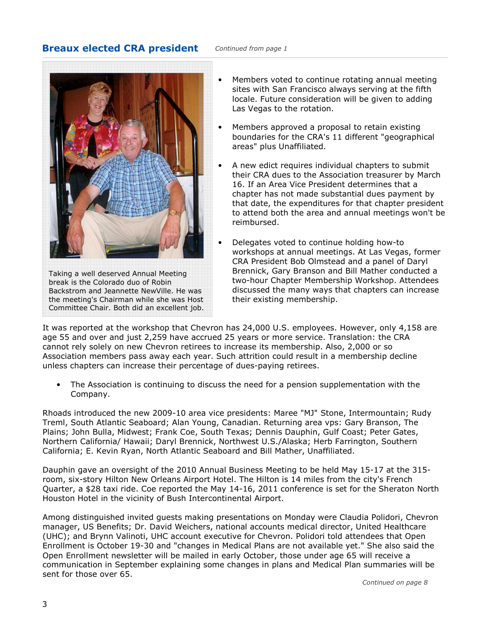#### **Breaux elected CRA president** Continued from page 1



Taking a well deserved Annual Meeting break is the Colorado duo of Robin Backstrom and Jeannette NewVille. He was the meeting's Chairman while she was Host Committee Chair. Both did an excellent job.

- Members voted to continue rotating annual meeting sites with San Francisco always serving at the fifth locale. Future consideration will be given to adding Las Vegas to the rotation.
- Members approved a proposal to retain existing boundaries for the CRA's 11 different "geographical areas" plus Unaffiliated.
- A new edict requires individual chapters to submit their CRA dues to the Association treasurer by March 16. If an Area Vice President determines that a chapter has not made substantial dues payment by that date, the expenditures for that chapter president to attend both the area and annual meetings won't be reimbursed.
- Delegates voted to continue holding how-to workshops at annual meetings. At Las Vegas, former CRA President Bob Olmstead and a panel of Daryl Brennick, Gary Branson and Bill Mather conducted a two-hour Chapter Membership Workshop. Attendees discussed the many ways that chapters can increase their existing membership.

It was reported at the workshop that Chevron has 24,000 U.S. employees. However, only 4,158 are age 55 and over and just 2,259 have accrued 25 years or more service. Translation: the CRA cannot rely solely on new Chevron retirees to increase its membership. Also, 2,000 or so Association members pass away each year. Such attrition could result in a membership decline unless chapters can increase their percentage of dues-paying retirees.

• The Association is continuing to discuss the need for a pension supplementation with the Company.

Rhoads introduced the new 2009-10 area vice presidents: Maree "MJ" Stone, Intermountain; Rudy Treml, South Atlantic Seaboard; Alan Young, Canadian. Returning area vps: Gary Branson, The Plains; John Bulla, Midwest; Frank Coe, South Texas; Dennis Dauphin, Gulf Coast; Peter Gates, Northern California/ Hawaii; Daryl Brennick, Northwest U.S./Alaska; Herb Farrington, Southern California; E. Kevin Ryan, North Atlantic Seaboard and Bill Mather, Unaffiliated.

Dauphin gave an oversight of the 2010 Annual Business Meeting to be held May 15-17 at the 315 room, six-story Hilton New Orleans Airport Hotel. The Hilton is 14 miles from the city's French Quarter, a \$28 taxi ride. Coe reported the May 14-16, 2011 conference is set for the Sheraton North Houston Hotel in the vicinity of Bush Intercontinental Airport.

Among distinguished invited guests making presentations on Monday were Claudia Polidori, Chevron manager, US Benefits; Dr. David Weichers, national accounts medical director, United Healthcare (UHC); and Brynn Valinoti, UHC account executive for Chevron. Polidori told attendees that Open Enrollment is October 19-30 and "changes in Medical Plans are not available yet." She also said the Open Enrollment newsletter will be mailed in early October, those under age 65 will receive a communication in September explaining some changes in plans and Medical Plan summaries will be sent for those over 65.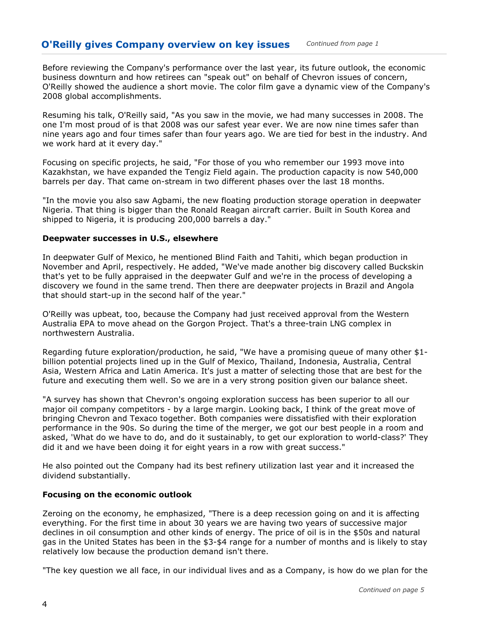Before reviewing the Company's performance over the last year, its future outlook, the economic business downturn and how retirees can "speak out" on behalf of Chevron issues of concern, O'Reilly showed the audience a short movie. The color film gave a dynamic view of the Company's 2008 global accomplishments.

Resuming his talk, O'Reilly said, "As you saw in the movie, we had many successes in 2008. The one I'm most proud of is that 2008 was our safest year ever. We are now nine times safer than nine years ago and four times safer than four years ago. We are tied for best in the industry. And we work hard at it every day."

Focusing on specific projects, he said, "For those of you who remember our 1993 move into Kazakhstan, we have expanded the Tengiz Field again. The production capacity is now 540,000 barrels per day. That came on-stream in two different phases over the last 18 months.

"In the movie you also saw Agbami, the new floating production storage operation in deepwater Nigeria. That thing is bigger than the Ronald Reagan aircraft carrier. Built in South Korea and shipped to Nigeria, it is producing 200,000 barrels a day."

#### Deepwater successes in U.S., elsewhere

In deepwater Gulf of Mexico, he mentioned Blind Faith and Tahiti, which began production in November and April, respectively. He added, "We've made another big discovery called Buckskin that's yet to be fully appraised in the deepwater Gulf and we're in the process of developing a discovery we found in the same trend. Then there are deepwater projects in Brazil and Angola that should start-up in the second half of the year."

O'Reilly was upbeat, too, because the Company had just received approval from the Western Australia EPA to move ahead on the Gorgon Project. That's a three-train LNG complex in northwestern Australia.

Regarding future exploration/production, he said, "We have a promising queue of many other \$1 billion potential projects lined up in the Gulf of Mexico, Thailand, Indonesia, Australia, Central Asia, Western Africa and Latin America. It's just a matter of selecting those that are best for the future and executing them well. So we are in a very strong position given our balance sheet.

"A survey has shown that Chevron's ongoing exploration success has been superior to all our major oil company competitors - by a large margin. Looking back, I think of the great move of bringing Chevron and Texaco together. Both companies were dissatisfied with their exploration performance in the 90s. So during the time of the merger, we got our best people in a room and asked, 'What do we have to do, and do it sustainably, to get our exploration to world-class?' They did it and we have been doing it for eight years in a row with great success."

He also pointed out the Company had its best refinery utilization last year and it increased the dividend substantially.

#### Focusing on the economic outlook

Zeroing on the economy, he emphasized, "There is a deep recession going on and it is affecting everything. For the first time in about 30 years we are having two years of successive major declines in oil consumption and other kinds of energy. The price of oil is in the \$50s and natural gas in the United States has been in the \$3-\$4 range for a number of months and is likely to stay relatively low because the production demand isn't there.

"The key question we all face, in our individual lives and as a Company, is how do we plan for the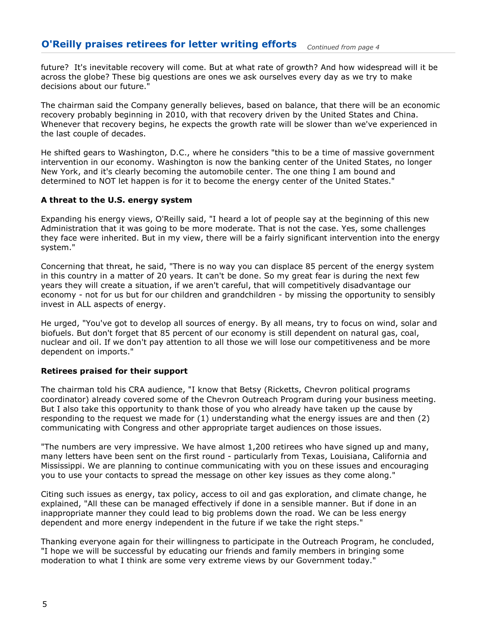future? It's inevitable recovery will come. But at what rate of growth? And how widespread will it be across the globe? These big questions are ones we ask ourselves every day as we try to make decisions about our future."

The chairman said the Company generally believes, based on balance, that there will be an economic recovery probably beginning in 2010, with that recovery driven by the United States and China. Whenever that recovery begins, he expects the growth rate will be slower than we've experienced in the last couple of decades.

He shifted gears to Washington, D.C., where he considers "this to be a time of massive government intervention in our economy. Washington is now the banking center of the United States, no longer New York, and it's clearly becoming the automobile center. The one thing I am bound and determined to NOT let happen is for it to become the energy center of the United States."

#### A threat to the U.S. energy system

Expanding his energy views, O'Reilly said, "I heard a lot of people say at the beginning of this new Administration that it was going to be more moderate. That is not the case. Yes, some challenges they face were inherited. But in my view, there will be a fairly significant intervention into the energy system."

Concerning that threat, he said, "There is no way you can displace 85 percent of the energy system in this country in a matter of 20 years. It can't be done. So my great fear is during the next few years they will create a situation, if we aren't careful, that will competitively disadvantage our economy - not for us but for our children and grandchildren - by missing the opportunity to sensibly invest in ALL aspects of energy.

He urged, "You've got to develop all sources of energy. By all means, try to focus on wind, solar and biofuels. But don't forget that 85 percent of our economy is still dependent on natural gas, coal, nuclear and oil. If we don't pay attention to all those we will lose our competitiveness and be more dependent on imports."

#### Retirees praised for their support

The chairman told his CRA audience, "I know that Betsy (Ricketts, Chevron political programs coordinator) already covered some of the Chevron Outreach Program during your business meeting. But I also take this opportunity to thank those of you who already have taken up the cause by responding to the request we made for (1) understanding what the energy issues are and then (2) communicating with Congress and other appropriate target audiences on those issues.

"The numbers are very impressive. We have almost 1,200 retirees who have signed up and many, many letters have been sent on the first round - particularly from Texas, Louisiana, California and Mississippi. We are planning to continue communicating with you on these issues and encouraging you to use your contacts to spread the message on other key issues as they come along."

Citing such issues as energy, tax policy, access to oil and gas exploration, and climate change, he explained, "All these can be managed effectively if done in a sensible manner. But if done in an inappropriate manner they could lead to big problems down the road. We can be less energy dependent and more energy independent in the future if we take the right steps."

Thanking everyone again for their willingness to participate in the Outreach Program, he concluded, "I hope we will be successful by educating our friends and family members in bringing some moderation to what I think are some very extreme views by our Government today."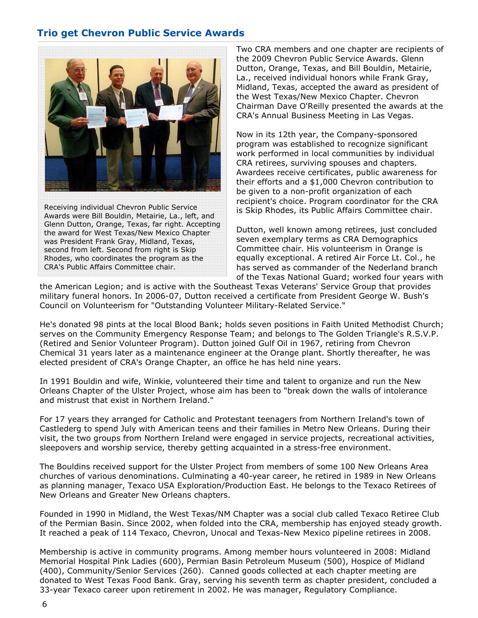## Trio get Chevron Public Service Awards



Receiving individual Chevron Public Service Awards were Bill Bouldin, Metairie, La., left, and Glenn Dutton, Orange, Texas, far right. Accepting the award for West Texas/New Mexico Chapter was President Frank Gray, Midland, Texas, second from left. Second from right is Skip Rhodes, who coordinates the program as the CRA's Public Affairs Committee chair.

Two CRA members and one chapter are recipients of the 2009 Chevron Public Service Awards. Glenn Dutton, Orange, Texas, and Bill Bouldin, Metairie, La., received individual honors while Frank Gray, Midland, Texas, accepted the award as president of the West Texas/New Mexico Chapter. Chevron Chairman Dave O'Reilly presented the awards at the CRA's Annual Business Meeting in Las Vegas.

Now in its 12th year, the Company-sponsored program was established to recognize significant work performed in local communities by individual CRA retirees, surviving spouses and chapters. Awardees receive certificates, public awareness for their efforts and a \$1,000 Chevron contribution to be given to a non-profit organization of each recipient's choice. Program coordinator for the CRA is Skip Rhodes, its Public Affairs Committee chair.

Dutton, well known among retirees, just concluded seven exemplary terms as CRA Demographics Committee chair. His volunteerism in Orange is equally exceptional. A retired Air Force Lt. Col., he has served as commander of the Nederland branch of the Texas National Guard; worked four years with

the American Legion; and is active with the Southeast Texas Veterans' Service Group that provides military funeral honors. In 2006-07, Dutton received a certificate from President George W. Bush's Council on Volunteerism for "Outstanding Volunteer Military-Related Service."

He's donated 98 pints at the local Blood Bank; holds seven positions in Faith United Methodist Church; serves on the Community Emergency Response Team; and belongs to The Golden Triangle's R.S.V.P. (Retired and Senior Volunteer Program). Dutton joined Gulf Oil in 1967, retiring from Chevron Chemical 31 years later as a maintenance engineer at the Orange plant. Shortly thereafter, he was elected president of CRA's Orange Chapter, an office he has held nine years.

In 1991 Bouldin and wife, Winkie, volunteered their time and talent to organize and run the New Orleans Chapter of the Ulster Project, whose aim has been to "break down the walls of intolerance and mistrust that exist in Northern Ireland."

For 17 years they arranged for Catholic and Protestant teenagers from Northern Ireland's town of Castlederg to spend July with American teens and their families in Metro New Orleans. During their visit, the two groups from Northern Ireland were engaged in service projects, recreational activities, sleepovers and worship service, thereby getting acquainted in a stress-free environment.

The Bouldins received support for the Ulster Project from members of some 100 New Orleans Area churches of various denominations. Culminating a 40-year career, he retired in 1989 in New Orleans as planning manager, Texaco USA Exploration/Production East. He belongs to the Texaco Retirees of New Orleans and Greater New Orleans chapters.

Founded in 1990 in Midland, the West Texas/NM Chapter was a social club called Texaco Retiree Club of the Permian Basin. Since 2002, when folded into the CRA, membership has enjoyed steady growth. It reached a peak of 114 Texaco, Chevron, Unocal and Texas-New Mexico pipeline retirees in 2008.

Membership is active in community programs. Among member hours volunteered in 2008: Midland Memorial Hospital Pink Ladies (600), Permian Basin Petroleum Museum (500), Hospice of Midland (400), Community/Senior Services (260). Canned goods collected at each chapter meeting are donated to West Texas Food Bank. Gray, serving his seventh term as chapter president, concluded a 33-year Texaco career upon retirement in 2002. He was manager, Regulatory Compliance.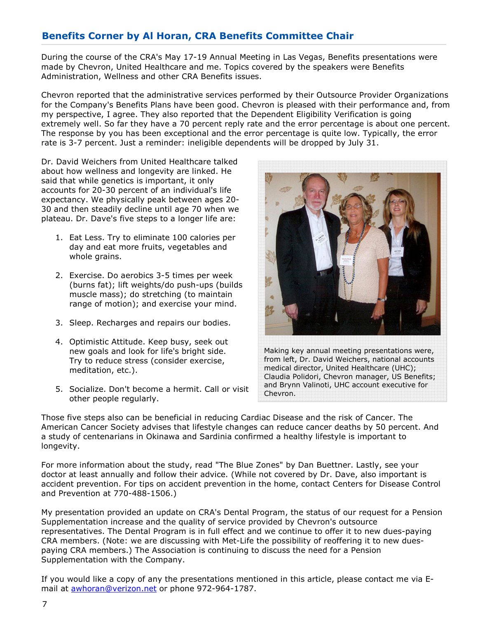## Benefits Corner by Al Horan, CRA Benefits Committee Chair

During the course of the CRA's May 17-19 Annual Meeting in Las Vegas, Benefits presentations were made by Chevron, United Healthcare and me. Topics covered by the speakers were Benefits Administration, Wellness and other CRA Benefits issues.

Chevron reported that the administrative services performed by their Outsource Provider Organizations for the Company's Benefits Plans have been good. Chevron is pleased with their performance and, from my perspective, I agree. They also reported that the Dependent Eligibility Verification is going extremely well. So far they have a 70 percent reply rate and the error percentage is about one percent. The response by you has been exceptional and the error percentage is quite low. Typically, the error rate is 3-7 percent. Just a reminder: ineligible dependents will be dropped by July 31.

Dr. David Weichers from United Healthcare talked about how wellness and longevity are linked. He said that while genetics is important, it only accounts for 20-30 percent of an individual's life expectancy. We physically peak between ages 20- 30 and then steadily decline until age 70 when we plateau. Dr. Dave's five steps to a longer life are:

- 1. Eat Less. Try to eliminate 100 calories per day and eat more fruits, vegetables and whole grains.
- 2. Exercise. Do aerobics 3-5 times per week (burns fat); lift weights/do push-ups (builds muscle mass); do stretching (to maintain range of motion); and exercise your mind.
- 3. Sleep. Recharges and repairs our bodies.
- 4. Optimistic Attitude. Keep busy, seek out new goals and look for life's bright side. Try to reduce stress (consider exercise, meditation, etc.).
- 5. Socialize. Don't become a hermit. Call or visit other people regularly.



Making key annual meeting presentations were, from left, Dr. David Weichers, national accounts medical director, United Healthcare (UHC); Claudia Polidori, Chevron manager, US Benefits; and Brynn Valinoti, UHC account executive for Chevron.

Those five steps also can be beneficial in reducing Cardiac Disease and the risk of Cancer. The American Cancer Society advises that lifestyle changes can reduce cancer deaths by 50 percent. And a study of centenarians in Okinawa and Sardinia confirmed a healthy lifestyle is important to longevity.

For more information about the study, read "The Blue Zones" by Dan Buettner. Lastly, see your doctor at least annually and follow their advice. (While not covered by Dr. Dave, also important is accident prevention. For tips on accident prevention in the home, contact Centers for Disease Control and Prevention at 770-488-1506.)

My presentation provided an update on CRA's Dental Program, the status of our request for a Pension Supplementation increase and the quality of service provided by Chevron's outsource representatives. The Dental Program is in full effect and we continue to offer it to new dues-paying CRA members. (Note: we are discussing with Met-Life the possibility of reoffering it to new duespaying CRA members.) The Association is continuing to discuss the need for a Pension Supplementation with the Company.

If you would like a copy of any the presentations mentioned in this article, please contact me via Email at awhoran@verizon.net or phone 972-964-1787.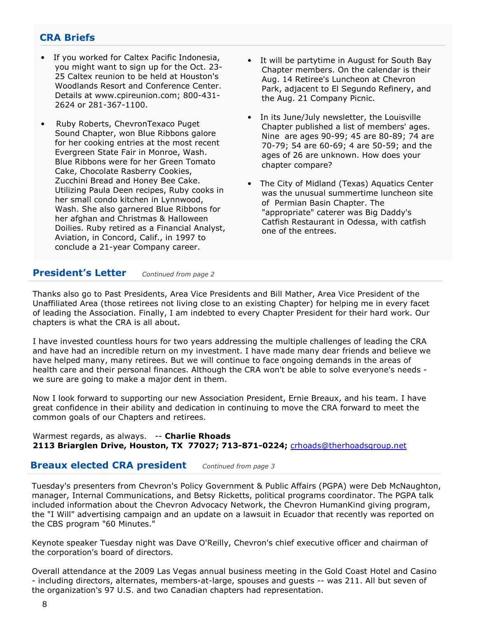## CRA Briefs

- If you worked for Caltex Pacific Indonesia, you might want to sign up for the Oct. 23- 25 Caltex reunion to be held at Houston's Woodlands Resort and Conference Center. Details at www.cpireunion.com; 800-431- 2624 or 281-367-1100.
- Ruby Roberts, ChevronTexaco Puget Sound Chapter, won Blue Ribbons galore for her cooking entries at the most recent Evergreen State Fair in Monroe, Wash. Blue Ribbons were for her Green Tomato Cake, Chocolate Rasberry Cookies, Zucchini Bread and Honey Bee Cake. Utilizing Paula Deen recipes, Ruby cooks in her small condo kitchen in Lynnwood, Wash. She also garnered Blue Ribbons for her afghan and Christmas & Halloween Doilies. Ruby retired as a Financial Analyst, Aviation, in Concord, Calif., in 1997 to conclude a 21-year Company career.
- It will be partytime in August for South Bay Chapter members. On the calendar is their Aug. 14 Retiree's Luncheon at Chevron Park, adjacent to El Segundo Refinery, and the Aug. 21 Company Picnic.
- In its June/July newsletter, the Louisville Chapter published a list of members' ages. Nine are ages 90-99; 45 are 80-89; 74 are 70-79; 54 are 60-69; 4 are 50-59; and the ages of 26 are unknown. How does your chapter compare?
- The City of Midland (Texas) Aquatics Center was the unusual summertime luncheon site of Permian Basin Chapter. The "appropriate" caterer was Big Daddy's Catfish Restaurant in Odessa, with catfish one of the entrees.

#### **President's Letter** Continued from page 2

Thanks also go to Past Presidents, Area Vice Presidents and Bill Mather, Area Vice President of the Unaffiliated Area (those retirees not living close to an existing Chapter) for helping me in every facet of leading the Association. Finally, I am indebted to every Chapter President for their hard work. Our chapters is what the CRA is all about.

I have invested countless hours for two years addressing the multiple challenges of leading the CRA and have had an incredible return on my investment. I have made many dear friends and believe we have helped many, many retirees. But we will continue to face ongoing demands in the areas of health care and their personal finances. Although the CRA won't be able to solve everyone's needs we sure are going to make a major dent in them.

Now I look forward to supporting our new Association President, Ernie Breaux, and his team. I have great confidence in their ability and dedication in continuing to move the CRA forward to meet the common goals of our Chapters and retirees.

Warmest regards, as always. -- Charlie Rhoads 2113 Briarglen Drive, Houston, TX 77027; 713-871-0224; crhoads@therhoadsgroup.net

#### **Breaux elected CRA president** Continued from page 3

Tuesday's presenters from Chevron's Policy Government & Public Affairs (PGPA) were Deb McNaughton, manager, Internal Communications, and Betsy Ricketts, political programs coordinator. The PGPA talk included information about the Chevron Advocacy Network, the Chevron HumanKind giving program, the "I Will" advertising campaign and an update on a lawsuit in Ecuador that recently was reported on the CBS program "60 Minutes."

Keynote speaker Tuesday night was Dave O'Reilly, Chevron's chief executive officer and chairman of the corporation's board of directors.

Overall attendance at the 2009 Las Vegas annual business meeting in the Gold Coast Hotel and Casino - including directors, alternates, members-at-large, spouses and guests -- was 211. All but seven of the organization's 97 U.S. and two Canadian chapters had representation.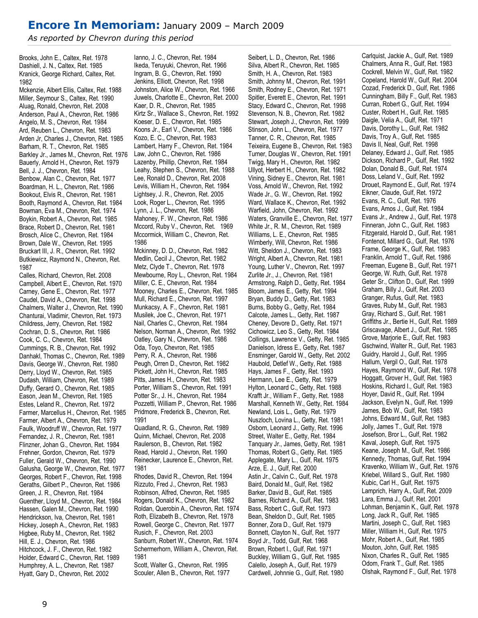## Encore In Memoriam: January 2009 – March 2009

As reported by Chevron during this period

Brooks, John E., Caltex, Ret. 1978 Dashiell, J. N., Caltex, Ret. 1985 Kranick, George Richard, Caltex, Ret. 1982

Mckenzie, Albert Ellis, Caltex, Ret. 1988 Miller, Seymour S., Caltex, Ret. 1990 Aluag, Ronald, Chevron, Ret. 2008 Anderson, Paul A., Chevron, Ret. 1986 Angelo, M. S., Chevron, Ret. 1984 Ard, Reuben L., Chevron, Ret. 1983 Arden Jr, Charles J., Chevron, Ret. 1985 Barham, R. T., Chevron, Ret. 1985 Barkley Jr., James M., Chevron, Ret. 1976 Bauerly, Arnold H., Chevron, Ret. 1979 Bell, J. J., Chevron, Ret. 1984 Benbow, Alan C., Chevron, Ret. 1977 Boardman, H. L., Chevron, Ret. 1986 Bookout, Elvis R., Chevron, Ret. 1981 Booth, Raymond A., Chevron, Ret. 1984 Bowman, Eva M., Chevron, Ret. 1974 Boykin, Robert A., Chevron, Ret. 1985 Brace, Robert D., Chevron, Ret. 1981 Brosch, Alice C., Chevron, Ret. 1984 Brown, Dale W., Chevron, Ret. 1995 Bruckart III, J. R., Chevron, Ret. 1992 Butkiewicz, Raymond N., Chevron, Ret. 1987

Calles, Richard, Chevron, Ret. 2008 Campbell, Albert E., Chevron, Ret. 1970 Carney, Gene E., Chevron, Ret. 1977 Caudel, David A., Chevron, Ret. 1998 Chalmers, Walter J., Chevron, Ret. 1990 Chanturai, Vladimir, Chevron, Ret. 1973 Childress, Jerry, Chevron, Ret. 1982 Cochran, D. S., Chevron, Ret. 1986 Cook, C. C., Chevron, Ret. 1984 Cummings, R. B., Chevron, Ret. 1992 Danhakl, Thomas C., Chevron, Ret. 1989 Davis, George W., Chevron, Ret. 1980 Derry, Lloyd W., Chevron, Ret. 1985 Dudash, William, Chevron, Ret. 1989 Duffy, Gerard O., Chevron, Ret. 1985 Eason, Jean M., Chevron, Ret. 1985 Estes, Leland R., Chevron, Ret. 1972 Farmer, Marcellus H., Chevron, Ret. 1985 Farmer, Albert A., Chevron, Ret. 1979 Faulk, Woodruff W., Chevron, Ret. 1977 Fernandez, J. R., Chevron, Ret. 1981 Flinzner, Johan G., Chevron, Ret. 1984 Frehner, Gordon, Chevron, Ret. 1979 Fuller, Gerald W., Chevron, Ret. 1990 Galusha, George W., Chevron, Ret. 1977 Georges, Robert F., Chevron, Ret. 1998 Geraths, Gilbert P., Chevron, Ret. 1986 Green, J. R., Chevron, Ret. 1984 Guenther, Lloyd M., Chevron, Ret. 1984 Hassen, Galen M., Chevron, Ret. 1990 Hendrickson, Iva, Chevron, Ret. 1981 Hickey, Joseph A., Chevron, Ret. 1983 Higbee, Ruby M., Chevron, Ret. 1982 Hill, E. J., Chevron, Ret. 1986 Hitchcock, J. F., Chevron, Ret. 1982 Holder, Edward C., Chevron, Ret. 1989 Humphrey, A. L., Chevron, Ret. 1987 Hyatt, Gary D., Chevron, Ret. 2002

Ianno, J. C., Chevron, Ret. 1984 Ikeda, Teruyuki, Chevron, Ret. 1966 Ingram, B. G., Chevron, Ret. 1990 Jenkins, Elliott, Chevron, Ret. 1998 Johnston, Alice W., Chevron, Ret. 1966 Juwels, Charlotte E., Chevron, Ret. 2000 Kaer, D. R., Chevron, Ret. 1985 Kirtz Sr., Wallace S., Chevron, Ret. 1992 Koeser, D. E., Chevron, Ret. 1985 Koons Jr., Earl V., Chevron, Ret. 1986 Kozo, E. C., Chevron, Ret. 1983 Lambert, Harry F., Chevron, Ret. 1984 Law, John C., Chevron, Ret. 1986 Lazenby, Phillip, Chevron, Ret. 1984 Leahy, Stephen S., Chevron, Ret. 1988 Lee, Ronald D., Chevron, Ret. 2008 Levis, William H., Chevron, Ret. 1984 Lightsey, J. R., Chevron, Ret. 2005 Look, Roger L., Chevron, Ret. 1995 Lynn, J. L., Chevron, Ret. 1986 Mahoney, F. W., Chevron, Ret. 1986 Mccord, Ruby V., Chevron, Ret. 1969 Mccormick, William C., Chevron, Ret. 1986

Mckinney, D. D., Chevron, Ret. 1982 Medlin, Cecil J., Chevron, Ret. 1982 Metz, Clyde T., Chevron, Ret. 1978 Mewbourne, Roy L., Chevron, Ret. 1984 Miller, C. E., Chevron, Ret. 1984 Mooney, Charles E., Chevron, Ret. 1985 Mull, Richard E., Chevron, Ret. 1997 Munkacsy, A. F., Chevron, Ret. 1981 Musilek, Joe C., Chevron, Ret. 1971 Nail, Charles C., Chevron, Ret. 1984 Nelson, Norman A., Chevron, Ret. 1992 Oatley, Gary N., Chevron, Ret. 1986 Oda, Toyo, Chevron, Ret. 1985 Perry, R. A., Chevron, Ret. 1986 Peugh, Orren D., Chevron, Ret. 1982 Pickett, John H., Chevron, Ret. 1985 Pitts, James H., Chevron, Ret. 1983 Porter, William S., Chevron, Ret. 1991 Potter Sr., J. H., Chevron, Ret. 1984 Pozzetti, William P., Chevron, Ret. 1986 Pridmore, Frederick B., Chevron, Ret. 1991

Quadland, R. G., Chevron, Ret. 1989 Quinn, Michael, Chevron, Ret. 2008 Raulerson, B., Chevron, Ret. 1982 Read, Harold J., Chevron, Ret. 1990 Reinecker, Laurence E., Chevron, Ret. 1981

Rhodes, David R., Chevron, Ret. 1994 Rizzuto, Fred J., Chevron, Ret. 1983 Robinson, Alfred, Chevron, Ret. 1985 Rogers, Donald K., Chevron, Ret. 1982 Roldan, Querobin A., Chevron, Ret. 1974 Roth, Elizabeth B., Chevron, Ret. 1978 Rowell, George C., Chevron, Ret. 1977 Rusich, F., Chevron, Ret. 2003 Sanburn, Robert W., Chevron, Ret. 1974 Schermerhorn, William A., Chevron, Ret. 1981 Scott, Walter G., Chevron, Ret. 1995

Scouler, Allen B., Chevron, Ret. 1977

Silva, Albert R., Chevron, Ret. 1985 Smith, H. A., Chevron, Ret. 1983 Smith, Johnny M., Chevron, Ret. 1991 Smith, Rodney E., Chevron, Ret. 1971 Spitler, Everett E., Chevron, Ret. 1991 Stacy, Edward C., Chevron, Ret. 1998 Stevenson, N. B., Chevron, Ret. 1982 Stewart, Joseph J., Chevron, Ret. 1999 Stinson, John L., Chevron, Ret. 1977 Tanner, C. R., Chevron, Ret. 1985 Teixeira, Eugene B., Chevron, Ret. 1983 Turner, Douglas W., Chevron, Ret. 1991 Twigg, Mary H., Chevron, Ret. 1982 Ullyot, Herbert H., Chevron, Ret. 1982 Vining, Sidney E., Chevron, Ret. 1981 Voss, Arnold W., Chevron, Ret. 1992 Wade Jr., G. W., Chevron, Ret. 1992 Ward, Wallace K., Chevron, Ret. 1992 Warfield, John, Chevron, Ret. 1992 Waters, Granville E., Chevron, Ret. 1977 White Jr., R. M., Chevron, Ret. 1989 Williams, L. E., Chevron, Ret. 1985 Wimberly, Will, Chevron, Ret. 1986 Witt, Sheldon J., Chevron, Ret. 1983 Wright, Albert A., Chevron, Ret. 1981 Young, Luther V., Chevron, Ret. 1997 Zurlite Jr., J., Chevron, Ret. 1981 Armstrong, Ralph D., Getty, Ret. 1984 Bloom, James E., Getty, Ret. 1994 Bryan, Buddy D., Getty, Ret. 1983 Burns, Bobby G., Getty, Ret. 1984 Calcote, James L., Getty, Ret. 1987 Cheney, Devore D., Getty, Ret. 1971 Cichowicz, Leo S., Getty, Ret. 1984 Collings, Lawrence V., Getty, Ret. 1985 Danielson, Idress E., Getty, Ret. 1987 Ensminger, Garold W., Getty, Ret. 2002 Haubold, Detlef W., Getty, Ret. 1988 Hays, James F., Getty, Ret. 1993 Hermann, Lee E., Getty, Ret. 1979 Hylton, Leonard C., Getty, Ret. 1988 Krafft Jr., William F., Getty, Ret. 1988 Marshall, Kenneth W., Getty, Ret. 1984 Newland, Lois L., Getty, Ret. 1979 Nuszloch, Lovina L., Getty, Ret. 1981 Osborn, Leonard J., Getty, Ret. 1996 Street, Walter E., Getty, Ret. 1984 Tanquary Jr., James, Getty, Ret. 1981 Thomas, Robert G., Getty, Ret. 1985 Applegate, Mary L., Gulf, Ret. 1975 Arze, E. J., Gulf, Ret. 2000 Astin Jr., Calvin C., Gulf, Ret. 1978 Baird, Donald M., Gulf, Ret. 1982 Barker, David B., Gulf, Ret. 1985 Barnes, Richard A., Gulf, Ret. 1983 Bass, Robert C., Gulf, Ret. 1973 Bean, Sheldon D., Gulf, Ret. 1985 Bonner, Zora D., Gulf, Ret. 1979 Bonnett, Clayton N., Gulf, Ret. 1977 Boyd Jr., Todd, Gulf, Ret. 1968 Brown, Robert I., Gulf, Ret. 1971 Buckley, William G., Gulf, Ret. 1985 Calello, Joseph A., Gulf, Ret. 1979 Cardwell, Johnnie G., Gulf, Ret. 1980

Seibert, L. D., Chevron, Ret. 1986

Carlquist, Jackie A., Gulf, Ret. 1989 Chalmers, Anna R., Gulf, Ret. 1983 Cockrell, Melvin W., Gulf, Ret. 1982 Copeland, Harold W., Gulf, Ret. 2004 Cozad, Frederick D., Gulf, Ret. 1986 Cunningham, Billy F., Gulf, Ret. 1983 Curran, Robert G., Gulf, Ret. 1994 Custer, Robert H., Gulf, Ret. 1985 Daigle, Velia A., Gulf, Ret. 1971 Davis, Dorothy L., Gulf, Ret. 1982 Davis, Troy A., Gulf, Ret. 1985 Davis II, Neal, Gulf, Ret. 1998 Delaney, Edward J., Gulf, Ret. 1985 Dickson, Richard P., Gulf, Ret. 1992 Dolan, Donald B., Gulf, Ret. 1974 Doss, Leland V., Gulf, Ret. 1992 Drouet, Raymond E., Gulf, Ret. 1974 Eikner, Claude, Gulf, Ret. 1972 Evans, R. C., Gulf, Ret. 1976 Evans, Amos J., Gulf, Ret. 1984 Evans Jr., Andrew J., Gulf, Ret. 1978 Finneran, John C., Gulf, Ret. 1983 Fitzgerald, Harold D., Gulf, Ret. 1981 Fontenot, Millard G., Gulf, Ret. 1976 Frame, George K., Gulf, Ret. 1983 Franklin, Arnold T., Gulf, Ret. 1986 Freeman, Eugene B., Gulf, Ret. 1971 George, W. Ruth, Gulf, Ret. 1978 Geter Sr., Clifton D., Gulf, Ret. 1999 Graham, Billy J., Gulf, Ret. 2003 Granger, Rufus, Gulf, Ret. 1983 Graves, Ruby M., Gulf, Ret. 1983 Gray, Richard S., Gulf, Ret. 1981 Griffiths Jr., Bertie H., Gulf, Ret. 1989 Griscavage, Albert J., Gulf, Ret. 1985 Grove, Marjorie E., Gulf, Ret. 1983 Gschwind, Walter R., Gulf, Ret. 1983 Guidry, Harold J., Gulf, Ret. 1995 Hallum, Vergil O., Gulf, Ret. 1978 Hayes, Raymond W., Gulf, Ret. 1978 Hoggatt, Grover H., Gulf, Ret. 1983 Hoskins, Richard I., Gulf, Ret. 1983 Hoyer, David R., Gulf, Ret. 1994 Jackson, Evelyn N., Gulf, Ret. 1999 James, Bob W., Gulf, Ret. 1983 Johns, Edward M., Gulf, Ret. 1983 Jolly, James T., Gulf, Ret. 1978 Josefson, Bror L., Gulf, Ret. 1982 Kaval, Joseph, Gulf, Ret. 1975 Keane, Joseph M., Gulf, Ret. 1986 Kennedy, Thomas, Gulf, Ret. 1994 Kravenko, William W., Gulf, Ret. 1976 Kriebel, Willard S., Gulf, Ret. 1980 Kubic, Carl H., Gulf, Ret. 1975 Lamprich, Harry A., Gulf, Ret. 2009 Lara, Emma J., Gulf, Ret. 2001 Lohman, Benjamin K., Gulf, Ret. 1978 Long, Jack R., Gulf, Ret. 1985 Martini, Joseph C., Gulf, Ret. 1983 Miller, William H., Gulf, Ret. 1975 Mohr, Robert A., Gulf, Ret. 1985 Mouton, John, Gulf, Ret. 1985 Nixon, Charles R., Gulf, Ret. 1985 Odom, Frank T., Gulf, Ret. 1985 Olshak, Raymond F., Gulf, Ret. 1978